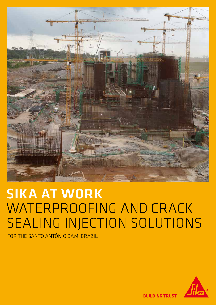

# SIKA AT WORK WATERPROOFING AND CRACK SEALING INJECTION SOLUTIONS

FOR THE SANTO ANTÔNIO DAM, BRAZIL



**BUILDING TRUST**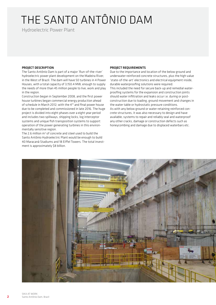## THE SANTO ANTÔNIO DAM

Hydroelectric Power Plant

#### PROJECT DESCRIPTION

The Santo Antônio Dam is part of a major 'Run-of-the-river' hydroelectric power plant development on the Madeira River, in the West of Brazil. The dam will have 50 turbines in 4 Power Houses, with a total capacity of 3,150.4 MW, enough to supply the needs of more than 45 million people to live, work and play in the region.

Construction began in September 2008, and the first power house turbines began commercial energy production ahead of schedule in March 2012; with the 4<sup>th</sup> and final power house due to be completed and commissioned in late 2016. The huge project is divided into eight phases over a eight year period and includes two spillways, shipping locks, log interceptor systems and unique fish transposition systems to support operation of the power generating turbines in this environmentally sensitive region.

The 2.6 million m<sup>3</sup> of concrete and steel used to build the Santo Antônio Hydroelectric Plant would be enough to build 40 Maracanã Stadiums and 18 Eiffel Towers. The total investment is approximately \$8 billion.

#### PROJECT REQUIREMENTS

Due to the importance and location of the below ground and underwater reinforced concrete structures, plus the high value 'state-of-the-art' electronics and electrical equipment inside, durable waterproofing solutions were required. This included the need for secure back-up and remedial waterproofing systems for the expansion and construction joints should water infiltration and leaks occur i.e. during or postconstruction due to loading, ground movement and changes in the water table or hydrostatic pressure conditions. As with any below ground or water retaining reinforced concrete structures, it was also necessary to design and have available, systems to repair and reliably seal and waterproof any other cracks, damage or construction defects such as honeycombing and damage due to displaced waterbars etc.

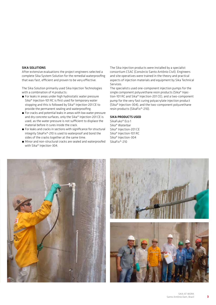#### SIKA SOLUTIONS

After extensive evaluations the project engineers selected a complete Sika System Solution for the remedial waterproofing that was fast, efficient and proven to be very effective.

The Sika Solution primarily used Sika Injection Technologies with a combination of 4 products:

- For leaks in areas under high hydrostatic water pressure Sika® Injection-101 RC is first used for temporary water stopping and this is followed by Sika® Injection-201 CE to provide the permanent sealing and waterproofing.
- For cracks and potential leaks in areas with low water pressure and dry concrete surfaces, only the Sika® Injection-201 CE is used, as the water pressure is not sufficient to displace the material before it cures inside the crack.
- For leaks and cracks in sections with significance for structural integrity SikaFix®-210 is used to waterproof and bond the sides of the cracks together at the same time.
- Minor and non-structural cracks are sealed and waterproofed with Sika® Injection-304.

The Sika injection products were installed by a specialist consortium CSAC (Consórcio Santo Antônio Civil). Engineers and site operatives were trained in the theory and practical aspects of injection materials and equipment by Sika Technical Services.

The specialists used one-component injection pumps for the single component polyurethane resin products (Sika® Injection-101 RC and Sika® Injection-201 CE), and a two-component pump for the very fast curing polyacrylate injection product (Sika® Injection-304), and the two-component polyurethane resin products (SikaFix®-210).

#### SIKA PRODUCTS USED

SikaFuko® Eco 1 Sika® Waterbar Sika® Injection-201 CE Sika® Injection-101 RC Sika® Injection-304 SikaFix®-210





3